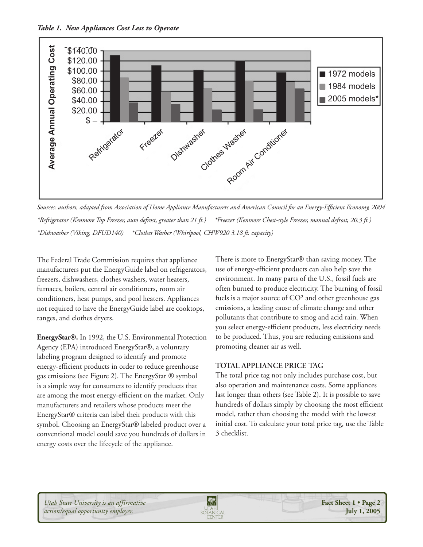

*Sources: authors, adapted from Association of Home Appliance Manufacturers and American Council for an Energy-Efficient Economy, 2004 \*Refrigerator (Kenmore Top Freezer, auto defrost, greater than 21 ft.) \*Freezer (Kenmore Chest-style Freezer, manual defrost, 20.3 ft.)*

The Federal Trade Commission requires that appliance manufacturers put the EnergyGuide label on refrigerators, freezers, dishwashers, clothes washers, water heaters, furnaces, boilers, central air conditioners, room air conditioners, heat pumps, and pool heaters. Appliances not required to have the EnergyGuide label are cooktops, ranges, and clothes dryers.

**EnergyStar®.** In 1992, the U.S. Environmental Protection Agency (EPA) introduced EnergyStar®, a voluntary labeling program designed to identify and promote energy-efficient products in order to reduce greenhouse gas emissions (see Figure 2). The EnergyStar ® symbol is a simple way for consumers to identify products that are among the most energy-efficient on the market. Only manufacturers and retailers whose products meet the EnergyStar® criteria can label their products with this symbol. Choosing an EnergyStar® labeled product over a conventional model could save you hundreds of dollars in energy costs over the lifecycle of the appliance.

There is more to EnergyStar® than saving money. The use of energy-efficient products can also help save the environment. In many parts of the U.S., fossil fuels are often burned to produce electricity. The burning of fossil fuels is a major source of CO² and other greenhouse gas emissions, a leading cause of climate change and other pollutants that contribute to smog and acid rain. When you select energy-efficient products, less electricity needs to be produced. Thus, you are reducing emissions and promoting cleaner air as well.

## **TOTAL APPLIANCE PRICE TAG**

The total price tag not only includes purchase cost, but also operation and maintenance costs. Some appliances last longer than others (see Table 2). It is possible to save hundreds of dollars simply by choosing the most efficient model, rather than choosing the model with the lowest initial cost. To calculate your total price tag, use the Table 3 checklist.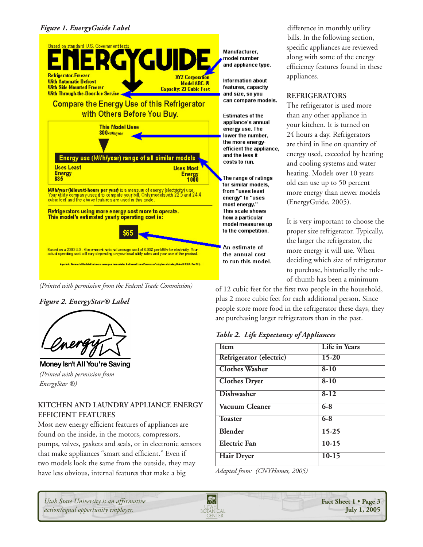

(Printed with permission from the Federal Trade Commission)

**Figure 2. EnergyStar® Label** 



Money Isn't All You're Saving (Printed with permission from EnergyStar ®)

# KITCHEN AND LAUNDRY APPLIANCE ENERGY **EFFICIENT FEATURES**

Most new energy efficient features of appliances are found on the inside, in the motors, compressors, pumps, valves, gaskets and seals, or in electronic sensors that make appliances "smart and efficient." Even if two models look the same from the outside, they may have less obvious, internal features that make a big

Manufacturer. model number and appliance type.

Information about features, capacity and size, so you can compare models.

Estimates of the appliance's annual energy use. The lower the number. the more energyefficient the appliance, and the less it costs to run.

The range of ratings for similar models. from "uses least energy" to "uses most energy." This scale shows how a particular model measures up to the competition.

An estimate of the annual cost to run this model.

difference in monthly utility bills. In the following section, specific appliances are reviewed along with some of the energy efficiency features found in these appliances.

## **REFRIGERATORS**

The refrigerator is used more than any other appliance in your kitchen. It is turned on 24 hours a day. Refrigerators are third in line on quantity of energy used, exceeded by heating and cooling systems and water heating. Models over 10 years old can use up to 50 percent more energy than newer models (EnergyGuide, 2005).

It is very important to choose the proper size refrigerator. Typically, the larger the refrigerator, the more energy it will use. When deciding which size of refrigerator to purchase, historically the ruleof-thumb has been a minimum

of 12 cubic feet for the first two people in the household, plus 2 more cubic feet for each additional person. Since people store more food in the refrigerator these days, they are purchasing larger refrigerators than in the past.

# Table 2. Life Expectancy of Appliances

| <b>Item</b>             | <b>Life in Years</b> |
|-------------------------|----------------------|
| Refrigerator (electric) | $15 - 20$            |
| <b>Clothes Washer</b>   | $8-10$               |
| <b>Clothes Dryer</b>    | $8 - 10$             |
| <b>Dishwasher</b>       | $8-12$               |
| Vacuum Cleaner          | $6 - 8$              |
| <b>Toaster</b>          | $6 - 8$              |
| <b>Blender</b>          | $15 - 25$            |
| <b>Electric Fan</b>     | $10-15$              |
| <b>Hair Dryer</b>       | $10-15$              |

Adapted from: (CNYHomes, 2005)

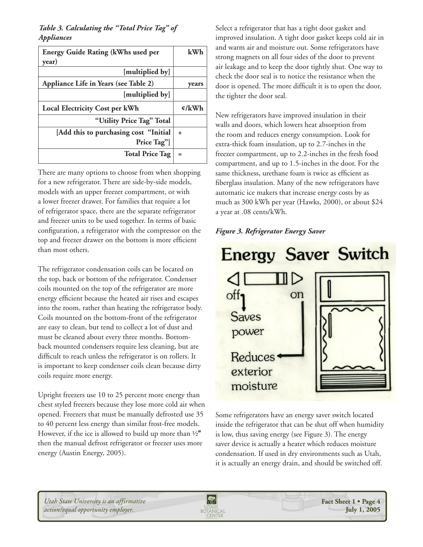# *Table 3. Calculating the "Total Price Tag" of Appliances*

| <b>Energy Guide Rating (kWhs used per</b>            | kWh   |
|------------------------------------------------------|-------|
| year)                                                |       |
| [multiplied by]                                      |       |
| Appliance Life in Years (see Table 2)                | vears |
| [multiplied by]                                      |       |
| <b>Local Electricity Cost per kWh</b>                | ¢/kWh |
| "Utility Price Tag" Total                            |       |
| [Add this to purchasing cost "Initial<br>Price Tag"] | ÷.    |
| <b>Total Price Tag</b>                               | $=$   |

There are many options to choose from when shopping for a new refrigerator. There are side-by-side models, models with an upper freezer compartment, or with a lower freezer drawer. For families that require a lot of refrigerator space, there are the separate refrigerator and freezer units to be used together. In terms of basic configuration, a refrigerator with the compressor on the top and freezer drawer on the bottom is more efficient than most others.

The refrigerator condensation coils can be located on the top, back or bottom of the refrigerator. Condenser coils mounted on the top of the refrigerator are more energy efficient because the heated air rises and escapes into the room, rather than heating the refrigerator body. Coils mounted on the bottom-front of the refrigerator are easy to clean, but tend to collect a lot of dust and must be cleaned about every three months. Bottomback mounted condensers require less cleaning, but are difficult to reach unless the refrigerator is on rollers. It is important to keep condenser coils clean because dirty coils require more energy.

Upright freezers use 10 to 25 percent more energy than chest styled freezers because they lose more cold air when opened. Freezers that must be manually defrosted use 35 to 40 percent less energy than similar frost-free models. However, if the ice is allowed to build up more than  $\frac{1}{2}$ " then the manual defrost refrigerator or freezer uses more energy (Austin Energy, 2005).

Select a refrigerator that has a tight door gasket and improved insulation. A tight door gasket keeps cold air in and warm air and moisture out. Some refrigerators have strong magnets on all four sides of the door to prevent air leakage and to keep the door tightly shut. One way to check the door seal is to notice the resistance when the door is opened. The more difficult it is to open the door, the tighter the door seal.

New refrigerators have improved insulation in their walls and doors, which lowers heat absorption from the room and reduces energy consumption. Look for extra-thick foam insulation, up to 2.7-inches in the freezer compartment, up to 2.2-inches in the fresh food compartment, and up to 1.5-inches in the door. For the same thickness, urethane foam is twice as efficient as fiberglass insulation. Many of the new refrigerators have automatic ice makers that increase energy costs by as much as 300 kWh per year (Hawks, 2000), or about \$24 a year at .08 cents/kWh.

### *Figure 3. Refrigerator Energy Saver*



Some refrigerators have an energy saver switch located inside the refrigerator that can be shut off when humidity is low, thus saving energy (see Figure 3). The energy saver device is actually a heater which reduces moisture condensation. If used in dry environments such as Utah, it is actually an energy drain, and should be switched off.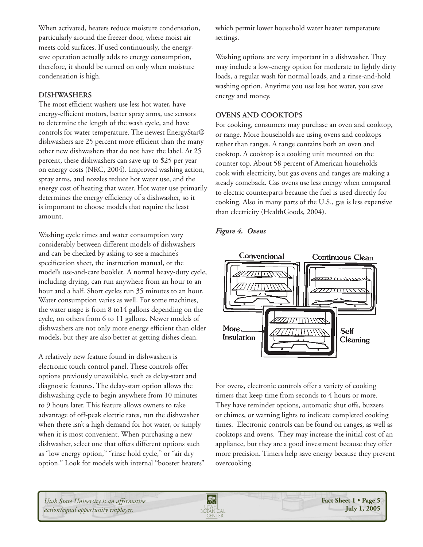When activated, heaters reduce moisture condensation, particularly around the freezer door, where moist air meets cold surfaces. If used continuously, the energysave operation actually adds to energy consumption, therefore, it should be turned on only when moisture condensation is high.

### **DISHWASHERS**

The most efficient washers use less hot water, have energy-efficient motors, better spray arms, use sensors to determine the length of the wash cycle, and have controls for water temperature. The newest EnergyStar® dishwashers are 25 percent more efficient than the many other new dishwashers that do not have the label. At 25 percent, these dishwashers can save up to \$25 per year on energy costs (NRC, 2004). Improved washing action, spray arms, and nozzles reduce hot water use, and the energy cost of heating that water. Hot water use primarily determines the energy efficiency of a dishwasher, so it is important to choose models that require the least amount.

Washing cycle times and water consumption vary considerably between different models of dishwashers and can be checked by asking to see a machine's specification sheet, the instruction manual, or the model's use-and-care booklet. A normal heavy-duty cycle, including drying, can run anywhere from an hour to an hour and a half. Short cycles run 35 minutes to an hour. Water consumption varies as well. For some machines, the water usage is from 8 to14 gallons depending on the cycle, on others from 6 to 11 gallons. Newer models of dishwashers are not only more energy efficient than older models, but they are also better at getting dishes clean.

A relatively new feature found in dishwashers is electronic touch control panel. These controls offer options previously unavailable, such as delay-start and diagnostic features. The delay-start option allows the dishwashing cycle to begin anywhere from 10 minutes to 9 hours later. This feature allows owners to take advantage of off-peak electric rates, run the dishwasher when there isn't a high demand for hot water, or simply when it is most convenient. When purchasing a new dishwasher, select one that offers different options such as "low energy option," "rinse hold cycle," or "air dry option." Look for models with internal "booster heaters" which permit lower household water heater temperature settings.

Washing options are very important in a dishwasher. They may include a low-energy option for moderate to lightly dirty loads, a regular wash for normal loads, and a rinse-and-hold washing option. Anytime you use less hot water, you save energy and money.

#### **OVENS AND COOKTOPS**

For cooking, consumers may purchase an oven and cooktop, or range. More households are using ovens and cooktops rather than ranges. A range contains both an oven and cooktop. A cooktop is a cooking unit mounted on the counter top. About 58 percent of American households cook with electricity, but gas ovens and ranges are making a steady comeback. Gas ovens use less energy when compared to electric counterparts because the fuel is used directly for cooking. Also in many parts of the U.S., gas is less expensive than electricity (HealthGoods, 2004).

#### *Figure 4. Ovens*



For ovens, electronic controls offer a variety of cooking timers that keep time from seconds to 4 hours or more. They have reminder options, automatic shut offs, buzzers or chimes, or warning lights to indicate completed cooking times. Electronic controls can be found on ranges, as well as cooktops and ovens. They may increase the initial cost of an appliance, but they are a good investment because they offer more precision. Timers help save energy because they prevent overcooking.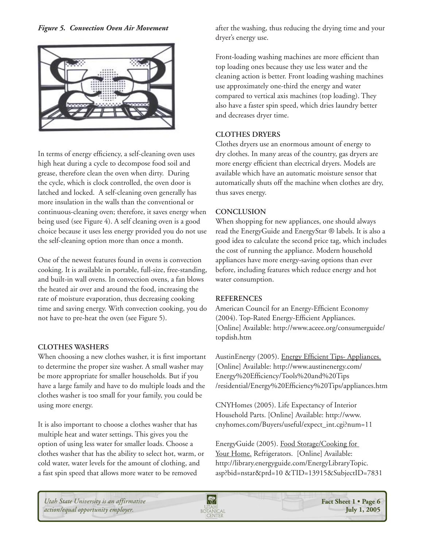



In terms of energy efficiency, a self-cleaning oven uses high heat during a cycle to decompose food soil and grease, therefore clean the oven when dirty. During the cycle, which is clock controlled, the oven door is latched and locked. A self-cleaning oven generally has more insulation in the walls than the conventional or continuous-cleaning oven; therefore, it saves energy when being used (see Figure 4). A self cleaning oven is a good choice because it uses less energy provided you do not use the self-cleaning option more than once a month.

One of the newest features found in ovens is convection cooking. It is available in portable, full-size, free-standing, and built-in wall ovens. In convection ovens, a fan blows the heated air over and around the food, increasing the rate of moisture evaporation, thus decreasing cooking time and saving energy. With convection cooking, you do not have to pre-heat the oven (see Figure 5).

### **CLOTHES WASHERS**

When choosing a new clothes washer, it is first important to determine the proper size washer. A small washer may be more appropriate for smaller households. But if you have a large family and have to do multiple loads and the clothes washer is too small for your family, you could be using more energy.

It is also important to choose a clothes washer that has multiple heat and water settings. This gives you the option of using less water for smaller loads. Choose a clothes washer that has the ability to select hot, warm, or cold water, water levels for the amount of clothing, and a fast spin speed that allows more water to be removed

after the washing, thus reducing the drying time and your dryer's energy use.

Front-loading washing machines are more efficient than top loading ones because they use less water and the cleaning action is better. Front loading washing machines use approximately one-third the energy and water compared to vertical axis machines (top loading). They also have a faster spin speed, which dries laundry better and decreases dryer time.

# **CLOTHES DRYERS**

Clothes dryers use an enormous amount of energy to dry clothes. In many areas of the country, gas dryers are more energy efficient than electrical dryers. Models are available which have an automatic moisture sensor that automatically shuts off the machine when clothes are dry, thus saves energy.

### **CONCLUSION**

When shopping for new appliances, one should always read the EnergyGuide and EnergyStar ® labels. It is also a good idea to calculate the second price tag, which includes the cost of running the appliance. Modern household appliances have more energy-saving options than ever before, including features which reduce energy and hot water consumption.

## **REFERENCES**

American Council for an Energy-Efficient Economy (2004). Top-Rated Energy-Efficient Appliances. [Online] Available: http://www.aceee.org/consumerguide/ topdish.htm

AustinEnergy (2005). Energy Efficient Tips- Appliances. [Online] Available: http://www.austinenergy.com/ Energy%20Efficiency/Tools%20and%20Tips /residential/Energy%20Efficiency%20Tips/appliances.htm

CNYHomes (2005). Life Expectancy of Interior Household Parts. [Online] Available: http://www. cnyhomes.com/Buyers/useful/expect\_int.cgi?num=11

EnergyGuide (2005). Food Storage/Cooking for Your Home. Refrigerators. [Online] Available: http://library.energyguide.com/EnergyLibraryTopic. asp?bid=nstar&prd=10 &TID=13915&SubjectID=7831